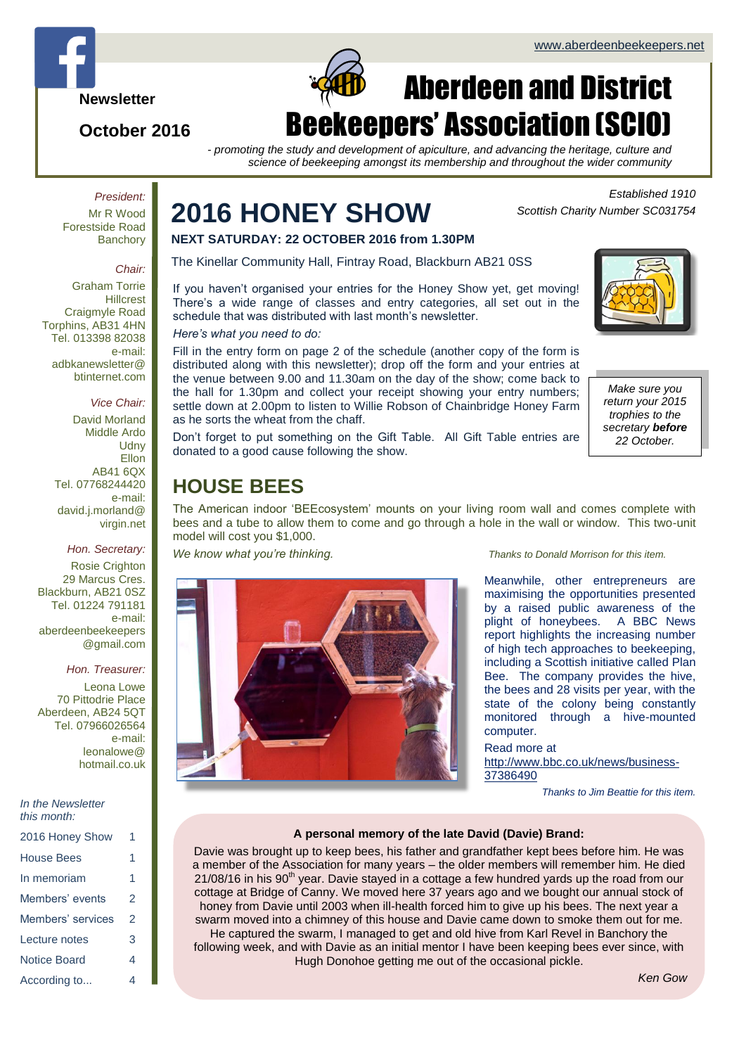

## **October 2016**

# $\Box$ Aberdeen and District Beekeepers' Association (SCIO)

*- promoting the study and development of apiculture, and advancing the heritage, culture and science of beekeeping amongst its membership and throughout the wider community*

*President:* Mr R Wood Forestside Road **Banchory** 

#### *Chair:*

Graham Torrie **Hillcrest** Craigmyle Road Torphins, AB31 4HN Tel. 013398 82038 e-mail: adbkanewsletter@ btinternet.com

## *Vice Chair:*

David Morland Middle Ardo **Udny** Ellon AB41 6QX Tel. 07768244420 e-mail: david.j.morland@ virgin.net

## *Hon. Secretary:*

Rosie Crighton 29 Marcus Cres. Blackburn, AB21 0SZ Tel. 01224 791181 e-mail: aberdeenbeekeepers @gmail.com

## *Hon. Treasurer:*

Leona Lowe 70 Pittodrie Place Aberdeen, AB24 5QT Tel. 07966026564 e-mail: leonalowe@ hotmail.co.uk

#### *In the Newsletter this month:*

| 2016 Honey Show     | 1 |
|---------------------|---|
| <b>House Bees</b>   | 1 |
| In memoriam         | 1 |
| Members' events     | 2 |
| Members' services   | 2 |
| Lecture notes       | 3 |
| <b>Notice Board</b> | 4 |
| According to        | 4 |

# **2016 HONEY SHOW**

**NEXT SATURDAY: 22 OCTOBER 2016 from 1.30PM**

The Kinellar Community Hall, Fintray Road, Blackburn AB21 0SS

If you haven't organised your entries for the Honey Show yet, get moving! There's a wide range of classes and entry categories, all set out in the schedule that was distributed with last month's newsletter.

## *Here's what you need to do:*

Fill in the entry form on page 2 of the schedule (another copy of the form is distributed along with this newsletter); drop off the form and your entries at the venue between 9.00 and 11.30am on the day of the show; come back to the hall for 1.30pm and collect your receipt showing your entry numbers; settle down at 2.00pm to listen to Willie Robson of Chainbridge Honey Farm as he sorts the wheat from the chaff.



*Scottish Charity Number SC031754*

*Established 1910*

*Make sure you return your 2015 trophies to the secretary before 22 October.*

Don't forget to put something on the Gift Table. All Gift Table entries are donated to a good cause following the show.

## **HOUSE BEES**

The American indoor 'BEEcosystem' mounts on your living room wall and comes complete with bees and a tube to allow them to come and go through a hole in the wall or window. This two-unit model will cost you \$1,000.



*We know what you're thinking. Thanks to Donald Morrison for this item.*

Meanwhile, other entrepreneurs are maximising the opportunities presented by a raised public awareness of the plight of honeybees. A BBC News report highlights the increasing number of high tech approaches to beekeeping, including a Scottish initiative called Plan Bee. The company provides the hive, the bees and 28 visits per year, with the state of the colony being constantly monitored through a hive-mounted computer.

## Read more at

[http://www.bbc.co.uk/news/business-](http://www.bbc.co.uk/news/business-37386490)[37386490](http://www.bbc.co.uk/news/business-37386490)

*Thanks to Jim Beattie for this item.*

## **A personal memory of the late David (Davie) Brand:**

Davie was brought up to keep bees, his father and grandfather kept bees before him. He was a member of the Association for many years – the older members will remember him. He died  $21/08/16$  in his  $90<sup>th</sup>$  year. Davie stayed in a cottage a few hundred yards up the road from our cottage at Bridge of Canny. We moved here 37 years ago and we bought our annual stock of honey from Davie until 2003 when ill-health forced him to give up his bees. The next year a swarm moved into a chimney of this house and Davie came down to smoke them out for me. He captured the swarm, I managed to get and old hive from Karl Revel in Banchory the following week, and with Davie as an initial mentor I have been keeping bees ever since, with Hugh Donohoe getting me out of the occasional pickle.

*Ken Gow*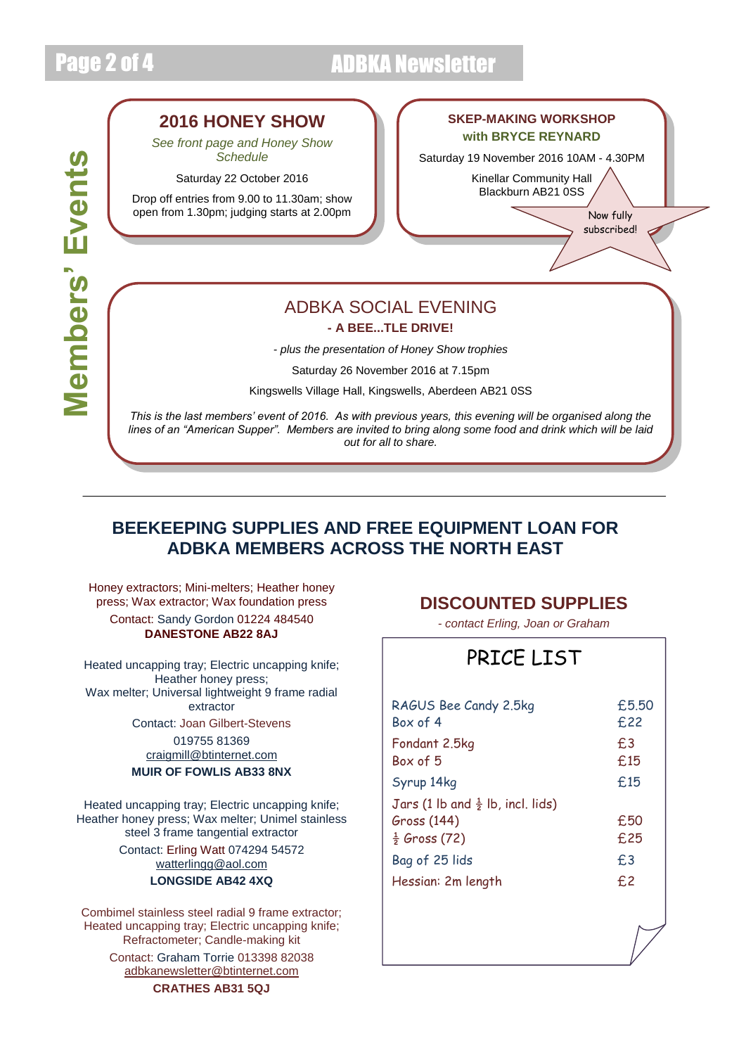# Page 2 of 4 ADBKA Newsletter

# **Members' Events Members' Events**

## **2016 HONEY SHOW**

*See front page and Honey Show Schedule*

Saturday 22 October 2016

Drop off entries from 9.00 to 11.30am; show open from 1.30pm; judging starts at 2.00pm  $\blacksquare$ 

## **SKEP-MAKING WORKSHOP with BRYCE REYNARD**

Saturday 19 November 2016 10AM - 4.30PM

Kinellar Community Hall Blackburn AB21 0SS

subscribed!

# ADBKA SOCIAL EVENING

**- A BEE...TLE DRIVE!**

*- plus the presentation of Honey Show trophies*

Saturday 26 November 2016 at 7.15pm

Kingswells Village Hall, Kingswells, Aberdeen AB21 0SS

*This is the last members' event of 2016. As with previous years, this evening will be organised along the lines of an "American Supper". Members are invited to bring along some food and drink which will be laid out for all to share.*

*Come along and join us for a blether, a bite to eat, and a thrilling Bee...tle Drive!*

## **BEEKEEPING SUPPLIES AND FREE EQUIPMENT LOAN FOR ADBKA MEMBERS ACROSS THE NORTH EAST**

Honey extractors; Mini-melters; Heather honey press; Wax extractor; Wax foundation press Contact: Sandy Gordon 01224 484540 **DANESTONE AB22 8AJ**

Heated uncapping tray; Electric uncapping knife; Heather honey press; Wax melter; Universal lightweight 9 frame radial extractor Contact: Joan Gilbert-Stevens 019755 81369 [craigmill@btinternet.com](mailto:craigmill@btinternet.com) **MUIR OF FOWLIS AB33 8NX**

Heated uncapping tray; Electric uncapping knife; Heather honey press; Wax melter; Unimel stainless steel 3 frame tangential extractor Contact: Erling Watt 074294 54572 [watterlingg@aol.com](mailto:watterlingg@aol.com) **LONGSIDE AB42 4XQ**

Combimel stainless steel radial 9 frame extractor; Heated uncapping tray; Electric uncapping knife; Refractometer; Candle-making kit

> Contact: Graham Torrie 013398 82038 [adbkanewsletter@btinternet.com](mailto:adbkanewsletter@btinternet.com)

> > **CRATHES AB31 5QJ**

## **DISCOUNTED SUPPLIES**

*- contact Erling, Joan or Graham*

## PRICE LIST

| RAGUS Bee Candy 2.5kg<br>Box of 4            | £5.50<br>£22           |
|----------------------------------------------|------------------------|
| Fondant 2.5kg<br>Box of 5                    | f <sub>13</sub><br>£15 |
| Syrup 14kg                                   | £15                    |
| Jars (1 lb and $\frac{1}{2}$ lb, incl. lids) |                        |
| Gross (144)                                  | £50                    |
| $\frac{1}{2}$ Gross (72)                     | £25                    |
| Bag of 25 lids                               | £3                     |
| Hessian: 2m length                           | f <sub>12</sub>        |
|                                              |                        |
|                                              |                        |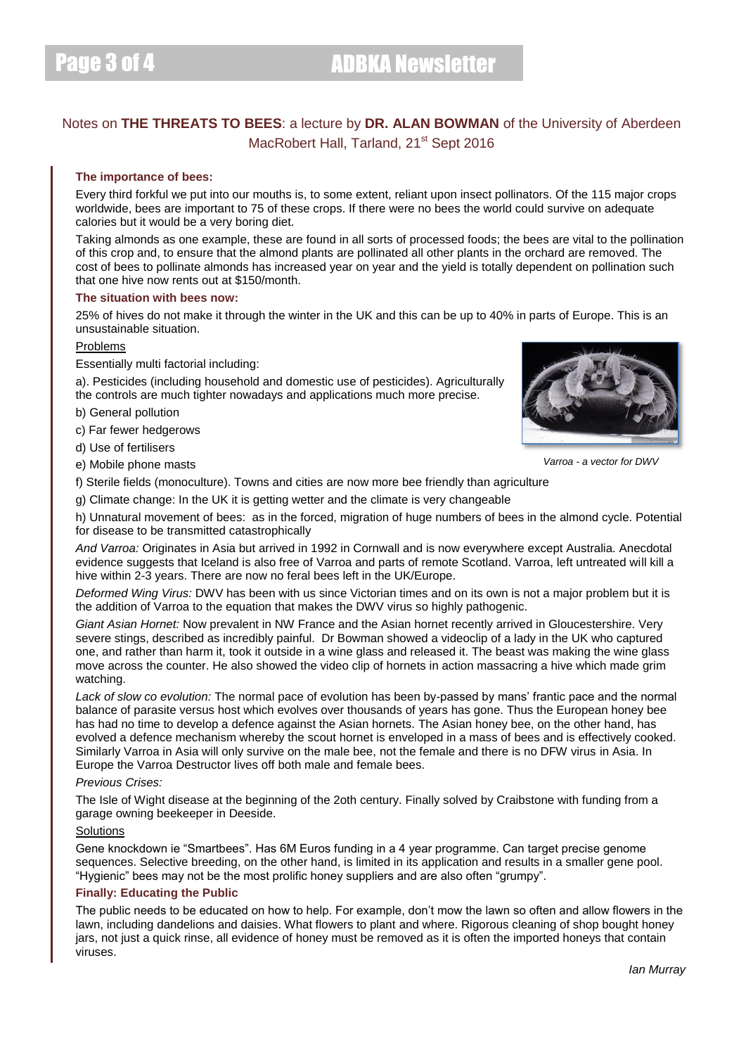# Page 3 of 4 **ADBKA Newsletter**

## Notes on **THE THREATS TO BEES**: a lecture by **DR. ALAN BOWMAN** of the University of Aberdeen MacRobert Hall, Tarland, 21<sup>st</sup> Sept 2016

## **The importance of bees:**

Every third forkful we put into our mouths is, to some extent, reliant upon insect pollinators. Of the 115 major crops worldwide, bees are important to 75 of these crops. If there were no bees the world could survive on adequate calories but it would be a very boring diet.

Taking almonds as one example, these are found in all sorts of processed foods; the bees are vital to the pollination of this crop and, to ensure that the almond plants are pollinated all other plants in the orchard are removed. The cost of bees to pollinate almonds has increased year on year and the yield is totally dependent on pollination such that one hive now rents out at \$150/month.

## **The situation with bees now:**

25% of hives do not make it through the winter in the UK and this can be up to 40% in parts of Europe. This is an unsustainable situation.

#### Problems

Essentially multi factorial including:

a). Pesticides (including household and domestic use of pesticides). Agriculturally the controls are much tighter nowadays and applications much more precise.

b) General pollution

c) Far fewer hedgerows

d) Use of fertilisers

e) Mobile phone masts



*Varroa - a vector for DWV*

f) Sterile fields (monoculture). Towns and cities are now more bee friendly than agriculture

g) Climate change: In the UK it is getting wetter and the climate is very changeable

h) Unnatural movement of bees: as in the forced, migration of huge numbers of bees in the almond cycle. Potential for disease to be transmitted catastrophically

*And Varroa:* Originates in Asia but arrived in 1992 in Cornwall and is now everywhere except Australia. Anecdotal evidence suggests that Iceland is also free of Varroa and parts of remote Scotland. Varroa, left untreated will kill a hive within 2-3 years. There are now no feral bees left in the UK/Europe.

*Deformed Wing Virus:* DWV has been with us since Victorian times and on its own is not a major problem but it is the addition of Varroa to the equation that makes the DWV virus so highly pathogenic.

*Giant Asian Hornet:* Now prevalent in NW France and the Asian hornet recently arrived in Gloucestershire. Very severe stings, described as incredibly painful. Dr Bowman showed a videoclip of a lady in the UK who captured one, and rather than harm it, took it outside in a wine glass and released it. The beast was making the wine glass move across the counter. He also showed the video clip of hornets in action massacring a hive which made grim watching.

*Lack of slow co evolution:* The normal pace of evolution has been by-passed by mans' frantic pace and the normal balance of parasite versus host which evolves over thousands of years has gone. Thus the European honey bee has had no time to develop a defence against the Asian hornets. The Asian honey bee, on the other hand, has evolved a defence mechanism whereby the scout hornet is enveloped in a mass of bees and is effectively cooked. Similarly Varroa in Asia will only survive on the male bee, not the female and there is no DFW virus in Asia. In Europe the Varroa Destructor lives off both male and female bees.

## *Previous Crises:*

The Isle of Wight disease at the beginning of the 2oth century. Finally solved by Craibstone with funding from a garage owning beekeeper in Deeside.

## **Solutions**

Gene knockdown ie "Smartbees". Has 6M Euros funding in a 4 year programme. Can target precise genome sequences. Selective breeding, on the other hand, is limited in its application and results in a smaller gene pool. "Hygienic" bees may not be the most prolific honey suppliers and are also often "grumpy".

## **Finally: Educating the Public**

The public needs to be educated on how to help. For example, don't mow the lawn so often and allow flowers in the lawn, including dandelions and daisies. What flowers to plant and where. Rigorous cleaning of shop bought honey jars, not just a quick rinse, all evidence of honey must be removed as it is often the imported honeys that contain viruses.